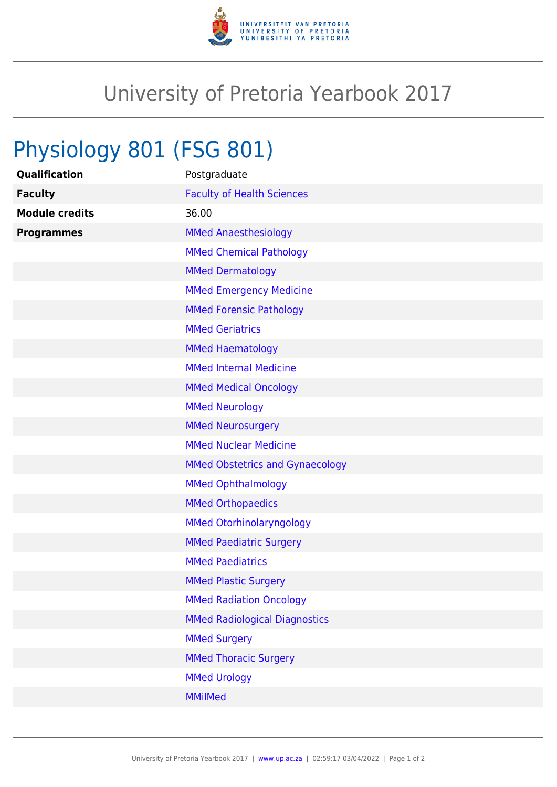

## University of Pretoria Yearbook 2017

## Physiology 801 (FSG 801)

| Qualification         | Postgraduate                           |
|-----------------------|----------------------------------------|
| <b>Faculty</b>        | <b>Faculty of Health Sciences</b>      |
| <b>Module credits</b> | 36.00                                  |
| <b>Programmes</b>     | <b>MMed Anaesthesiology</b>            |
|                       | <b>MMed Chemical Pathology</b>         |
|                       | <b>MMed Dermatology</b>                |
|                       | <b>MMed Emergency Medicine</b>         |
|                       | <b>MMed Forensic Pathology</b>         |
|                       | <b>MMed Geriatrics</b>                 |
|                       | <b>MMed Haematology</b>                |
|                       | <b>MMed Internal Medicine</b>          |
|                       | <b>MMed Medical Oncology</b>           |
|                       | <b>MMed Neurology</b>                  |
|                       | <b>MMed Neurosurgery</b>               |
|                       | <b>MMed Nuclear Medicine</b>           |
|                       | <b>MMed Obstetrics and Gynaecology</b> |
|                       | <b>MMed Ophthalmology</b>              |
|                       | <b>MMed Orthopaedics</b>               |
|                       | <b>MMed Otorhinolaryngology</b>        |
|                       | <b>MMed Paediatric Surgery</b>         |
|                       | <b>MMed Paediatrics</b>                |
|                       | <b>MMed Plastic Surgery</b>            |
|                       | <b>MMed Radiation Oncology</b>         |
|                       | <b>MMed Radiological Diagnostics</b>   |
|                       | <b>MMed Surgery</b>                    |
|                       | <b>MMed Thoracic Surgery</b>           |
|                       | <b>MMed Urology</b>                    |
|                       | <b>MMilMed</b>                         |
|                       |                                        |